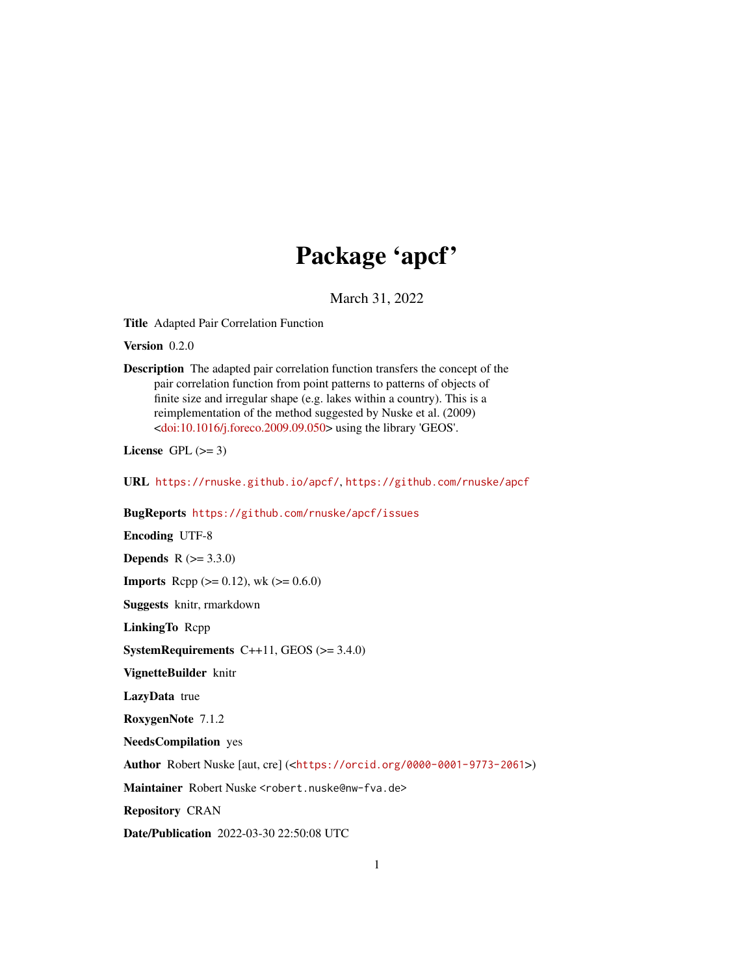# Package 'apcf'

March 31, 2022

<span id="page-0-0"></span>Title Adapted Pair Correlation Function

Version 0.2.0

Description The adapted pair correlation function transfers the concept of the pair correlation function from point patterns to patterns of objects of finite size and irregular shape (e.g. lakes within a country). This is a reimplementation of the method suggested by Nuske et al. (2009) [<doi:10.1016/j.foreco.2009.09.050>](https://doi.org/10.1016/j.foreco.2009.09.050) using the library 'GEOS'.

License GPL  $(>= 3)$ 

URL <https://rnuske.github.io/apcf/>, <https://github.com/rnuske/apcf>

BugReports <https://github.com/rnuske/apcf/issues>

Encoding UTF-8 **Depends**  $R (= 3.3.0)$ **Imports** Rcpp ( $>= 0.12$ ), wk ( $>= 0.6.0$ ) Suggests knitr, rmarkdown LinkingTo Rcpp **SystemRequirements**  $C++11$ , GEOS ( $>= 3.4.0$ ) VignetteBuilder knitr LazyData true RoxygenNote 7.1.2 NeedsCompilation yes Author Robert Nuske [aut, cre] (<<https://orcid.org/0000-0001-9773-2061>>) Maintainer Robert Nuske <robert.nuske@nw-fva.de> Repository CRAN Date/Publication 2022-03-30 22:50:08 UTC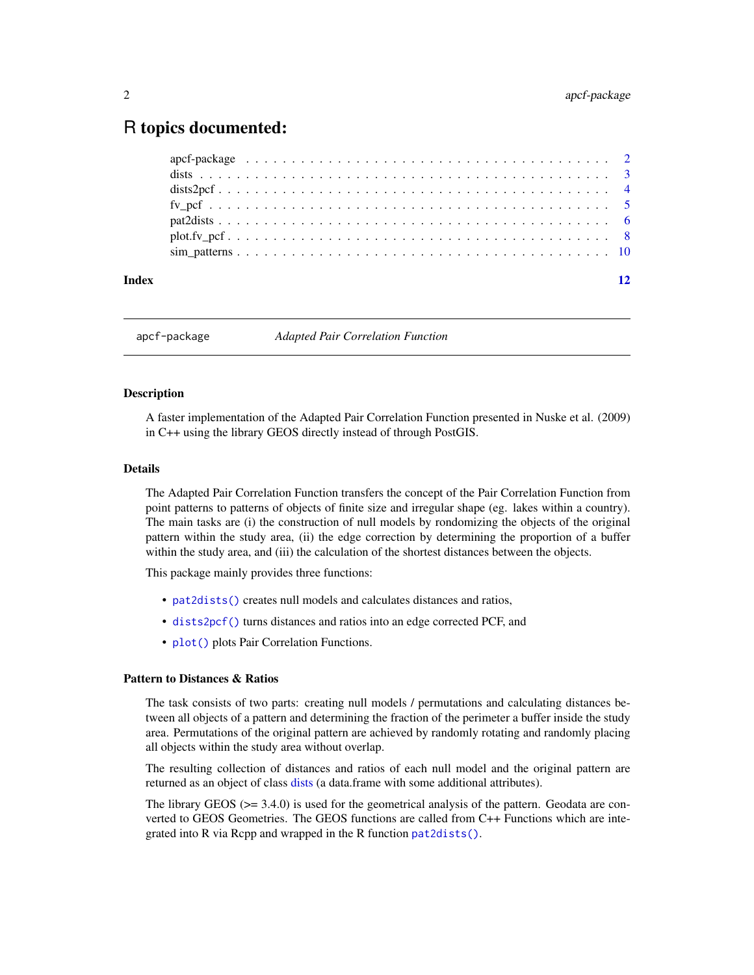### <span id="page-1-0"></span>R topics documented:

| Index |  |  |  |  |  |  |  |  |  |  |  |  |  |  |  |  |  |  | 12 |
|-------|--|--|--|--|--|--|--|--|--|--|--|--|--|--|--|--|--|--|----|
|       |  |  |  |  |  |  |  |  |  |  |  |  |  |  |  |  |  |  |    |
|       |  |  |  |  |  |  |  |  |  |  |  |  |  |  |  |  |  |  |    |
|       |  |  |  |  |  |  |  |  |  |  |  |  |  |  |  |  |  |  |    |
|       |  |  |  |  |  |  |  |  |  |  |  |  |  |  |  |  |  |  |    |
|       |  |  |  |  |  |  |  |  |  |  |  |  |  |  |  |  |  |  |    |
|       |  |  |  |  |  |  |  |  |  |  |  |  |  |  |  |  |  |  |    |
|       |  |  |  |  |  |  |  |  |  |  |  |  |  |  |  |  |  |  |    |

apcf-package *Adapted Pair Correlation Function*

#### **Description**

A faster implementation of the Adapted Pair Correlation Function presented in Nuske et al. (2009) in C++ using the library GEOS directly instead of through PostGIS.

#### Details

The Adapted Pair Correlation Function transfers the concept of the Pair Correlation Function from point patterns to patterns of objects of finite size and irregular shape (eg. lakes within a country). The main tasks are (i) the construction of null models by rondomizing the objects of the original pattern within the study area, (ii) the edge correction by determining the proportion of a buffer within the study area, and (iii) the calculation of the shortest distances between the objects.

This package mainly provides three functions:

- [pat2dists\(\)](#page-5-1) creates null models and calculates distances and ratios,
- [dists2pcf\(\)](#page-3-1) turns distances and ratios into an edge corrected PCF, and
- [plot\(\)](#page-0-0) plots Pair Correlation Functions.

#### Pattern to Distances & Ratios

The task consists of two parts: creating null models / permutations and calculating distances between all objects of a pattern and determining the fraction of the perimeter a buffer inside the study area. Permutations of the original pattern are achieved by randomly rotating and randomly placing all objects within the study area without overlap.

The resulting collection of distances and ratios of each null model and the original pattern are returned as an object of class [dists](#page-2-1) (a data.frame with some additional attributes).

The library GEOS (>= 3.4.0) is used for the geometrical analysis of the pattern. Geodata are converted to GEOS Geometries. The GEOS functions are called from C++ Functions which are integrated into R via Rcpp and wrapped in the R function [pat2dists\(\)](#page-5-1).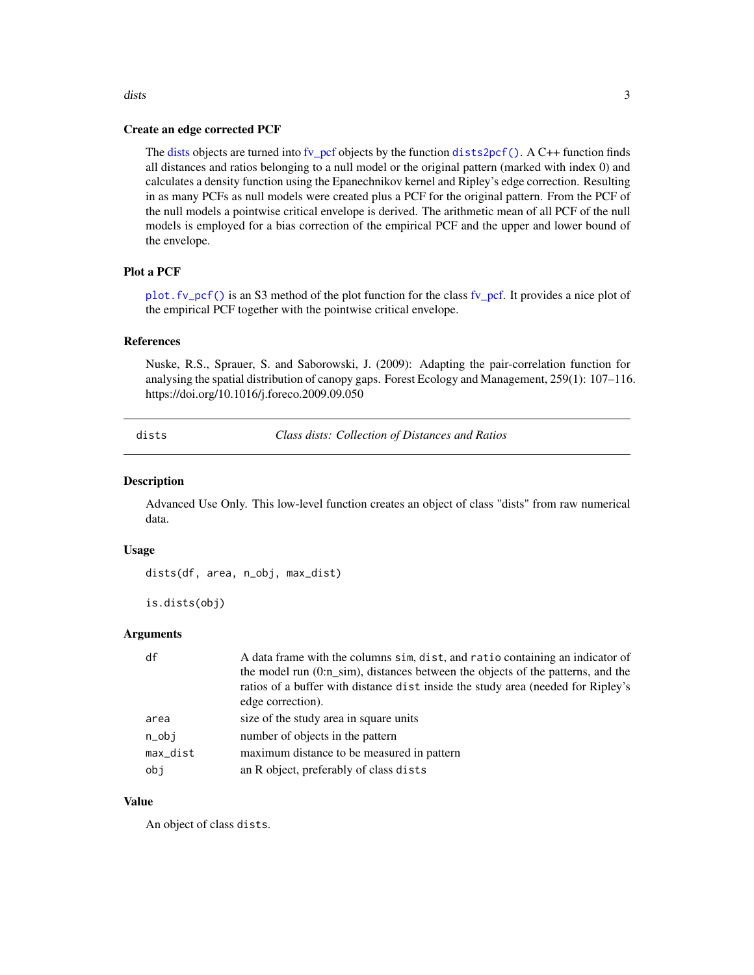## Create an edge corrected PCF

The [dists](#page-2-1) objects are turned into [fv\\_pcf](#page-4-1) objects by the function [dists2pcf\(\)](#page-3-1). A C++ function finds all distances and ratios belonging to a null model or the original pattern (marked with index 0) and calculates a density function using the Epanechnikov kernel and Ripley's edge correction. Resulting in as many PCFs as null models were created plus a PCF for the original pattern. From the PCF of the null models a pointwise critical envelope is derived. The arithmetic mean of all PCF of the null models is employed for a bias correction of the empirical PCF and the upper and lower bound of the envelope.

#### Plot a PCF

[plot.fv\\_pcf\(\)](#page-7-1) is an S3 method of the plot function for the class [fv\\_pcf.](#page-4-1) It provides a nice plot of the empirical PCF together with the pointwise critical envelope.

#### References

Nuske, R.S., Sprauer, S. and Saborowski, J. (2009): Adapting the pair-correlation function for analysing the spatial distribution of canopy gaps. Forest Ecology and Management, 259(1): 107–116. https://doi.org/10.1016/j.foreco.2009.09.050

<span id="page-2-1"></span>dists *Class dists: Collection of Distances and Ratios*

#### Description

Advanced Use Only. This low-level function creates an object of class "dists" from raw numerical data.

#### Usage

dists(df, area, n\_obj, max\_dist)

is.dists(obj)

#### Arguments

| df               | A data frame with the columns sim, dist, and ratio containing an indicator of<br>the model run (0:n sim), distances between the objects of the patterns, and the |
|------------------|------------------------------------------------------------------------------------------------------------------------------------------------------------------|
|                  | ratios of a buffer with distance dist inside the study area (needed for Ripley's                                                                                 |
|                  | edge correction).                                                                                                                                                |
| area             | size of the study area in square units                                                                                                                           |
| $n_{\text{obj}}$ | number of objects in the pattern                                                                                                                                 |
| max_dist         | maximum distance to be measured in pattern                                                                                                                       |
| obi              | an R object, preferably of class dists                                                                                                                           |

#### Value

An object of class dists.

<span id="page-2-0"></span>dists 3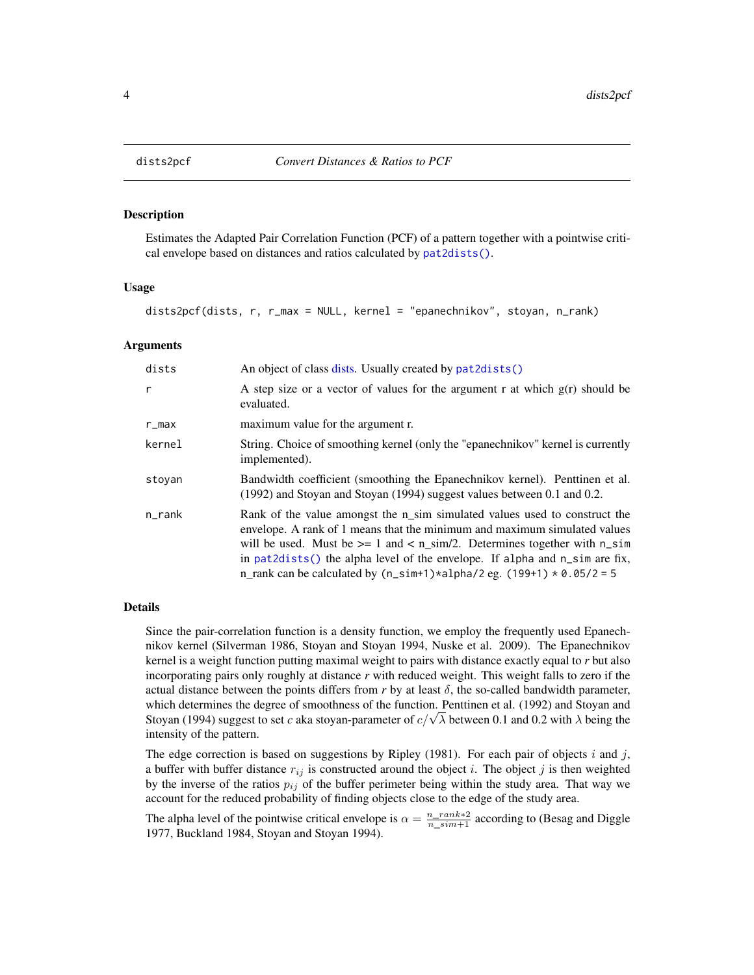<span id="page-3-1"></span><span id="page-3-0"></span>

#### Description

Estimates the Adapted Pair Correlation Function (PCF) of a pattern together with a pointwise critical envelope based on distances and ratios calculated by [pat2dists\(\)](#page-5-1).

#### Usage

```
dists2pcf(dists, r, r_max = NULL, kernel = "epanechnikov", stoyan, n_rank)
```
#### Arguments

| dists  | An object of class dists. Usually created by pat2dists()                                                                                                                                                                                                                                                                                                                                             |
|--------|------------------------------------------------------------------------------------------------------------------------------------------------------------------------------------------------------------------------------------------------------------------------------------------------------------------------------------------------------------------------------------------------------|
| r      | A step size or a vector of values for the argument r at which $g(r)$ should be<br>evaluated.                                                                                                                                                                                                                                                                                                         |
| r_max  | maximum value for the argument r.                                                                                                                                                                                                                                                                                                                                                                    |
| kernel | String. Choice of smoothing kernel (only the "epanechnikov" kernel is currently<br>implemented).                                                                                                                                                                                                                                                                                                     |
| stovan | Bandwidth coefficient (smoothing the Epanechnikov kernel). Penttinen et al.<br>(1992) and Stoyan and Stoyan (1994) suggest values between 0.1 and 0.2.                                                                                                                                                                                                                                               |
| n_rank | Rank of the value amongst the n_sim simulated values used to construct the<br>envelope. A rank of 1 means that the minimum and maximum simulated values<br>will be used. Must be $>= 1$ and $<$ n_sim/2. Determines together with n_sim<br>in pat2dists() the alpha level of the envelope. If alpha and $n$ _sim are fix,<br>n_rank can be calculated by $(n\_sim+1)*alpha/2$ eg. $(199+1)*0.05/2=5$ |

#### Details

Since the pair-correlation function is a density function, we employ the frequently used Epanechnikov kernel (Silverman 1986, Stoyan and Stoyan 1994, Nuske et al. 2009). The Epanechnikov kernel is a weight function putting maximal weight to pairs with distance exactly equal to *r* but also incorporating pairs only roughly at distance *r* with reduced weight. This weight falls to zero if the actual distance between the points differs from  $r$  by at least  $\delta$ , the so-called bandwidth parameter, which determines the degree of smoothness of the function. Penttinen et al. (1992) and Stoyan and which determines the degree of smoothness of the function. Penttinen et al. (1992) and Stoyan and Stoyan and Stoyan and Stoyan and Stoyan and Stoyan and Stoyan and Stoyan and Stoyan and Stoyan and Stoyan extending the Sto intensity of the pattern.

The edge correction is based on suggestions by Ripley (1981). For each pair of objects i and j, a buffer with buffer distance  $r_{ij}$  is constructed around the object i. The object j is then weighted by the inverse of the ratios  $p_{ij}$  of the buffer perimeter being within the study area. That way we account for the reduced probability of finding objects close to the edge of the study area.

The alpha level of the pointwise critical envelope is  $\alpha = \frac{n\_rank*2}{n\_sim+1}$  according to (Besag and Diggle 1977, Buckland 1984, Stoyan and Stoyan 1994).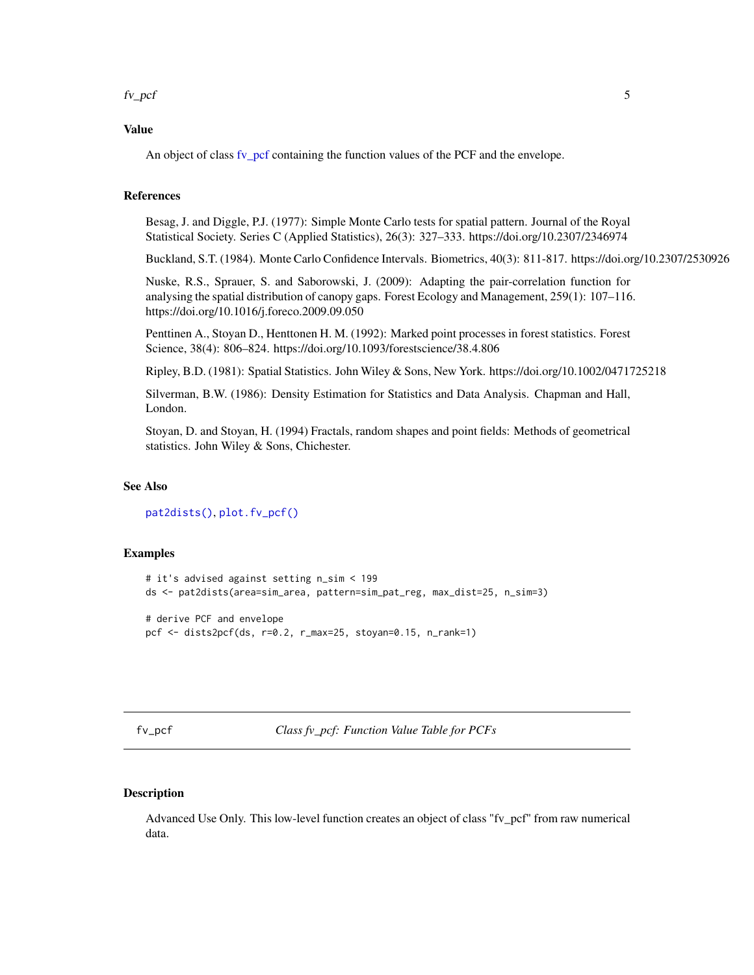#### <span id="page-4-0"></span> $f_{\nu\_pcf}$  5

#### Value

An object of class [fv\\_pcf](#page-4-1) containing the function values of the PCF and the envelope.

#### References

Besag, J. and Diggle, P.J. (1977): Simple Monte Carlo tests for spatial pattern. Journal of the Royal Statistical Society. Series C (Applied Statistics), 26(3): 327–333. https://doi.org/10.2307/2346974

Buckland, S.T. (1984). Monte Carlo Confidence Intervals. Biometrics, 40(3): 811-817. https://doi.org/10.2307/2530926

Nuske, R.S., Sprauer, S. and Saborowski, J. (2009): Adapting the pair-correlation function for analysing the spatial distribution of canopy gaps. Forest Ecology and Management, 259(1): 107–116. https://doi.org/10.1016/j.foreco.2009.09.050

Penttinen A., Stoyan D., Henttonen H. M. (1992): Marked point processes in forest statistics. Forest Science, 38(4): 806–824. https://doi.org/10.1093/forestscience/38.4.806

Ripley, B.D. (1981): Spatial Statistics. John Wiley & Sons, New York. https://doi.org/10.1002/0471725218

Silverman, B.W. (1986): Density Estimation for Statistics and Data Analysis. Chapman and Hall, London.

Stoyan, D. and Stoyan, H. (1994) Fractals, random shapes and point fields: Methods of geometrical statistics. John Wiley & Sons, Chichester.

#### See Also

[pat2dists\(\)](#page-5-1), [plot.fv\\_pcf\(\)](#page-7-1)

#### Examples

```
# it's advised against setting n_sim < 199
ds <- pat2dists(area=sim_area, pattern=sim_pat_reg, max_dist=25, n_sim=3)
# derive PCF and envelope
pcf <- dists2pcf(ds, r=0.2, r_max=25, stoyan=0.15, n_rank=1)
```
<span id="page-4-1"></span>fv\_pcf *Class fv\_pcf: Function Value Table for PCFs*

#### Description

Advanced Use Only. This low-level function creates an object of class "fv\_pcf" from raw numerical data.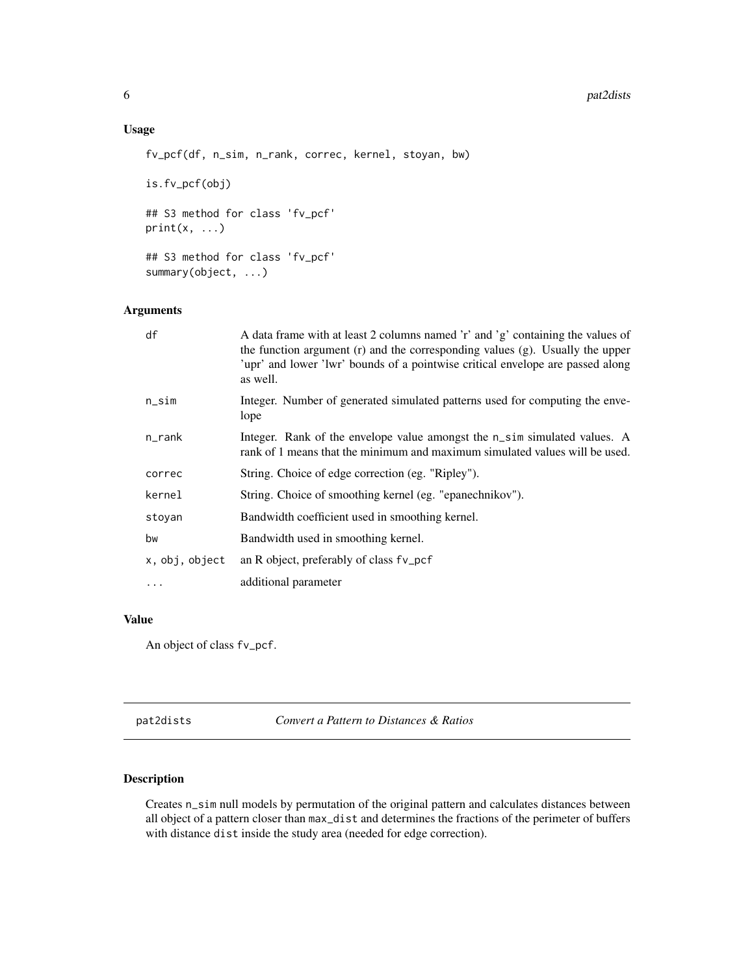#### <span id="page-5-0"></span>6 pat2dists and pat2dists are not provided by the pat2dists and pat2dists are not pat2dists and pat2dists are not pat2dists and pat2dists are not pat2dists and pat2dists are not pat2dists and pat2dists are not pat2dists an

#### Usage

```
fv_pcf(df, n_sim, n_rank, correc, kernel, stoyan, bw)
```
is.fv\_pcf(obj)

## S3 method for class 'fv\_pcf'  $print(x, \ldots)$ 

## S3 method for class 'fv\_pcf' summary(object, ...)

#### Arguments

| df             | A data frame with at least 2 columns named 'r' and 'g' containing the values of<br>the function argument (r) and the corresponding values (g). Usually the upper<br>'upr' and lower 'lwr' bounds of a pointwise critical envelope are passed along<br>as well. |
|----------------|----------------------------------------------------------------------------------------------------------------------------------------------------------------------------------------------------------------------------------------------------------------|
| $n$ _sim       | Integer. Number of generated simulated patterns used for computing the enve-<br>lope                                                                                                                                                                           |
| $n$ _rank      | Integer. Rank of the envelope value amongst the n_sim simulated values. A<br>rank of 1 means that the minimum and maximum simulated values will be used.                                                                                                       |
| correc         | String. Choice of edge correction (eg. "Ripley").                                                                                                                                                                                                              |
| kernel         | String. Choice of smoothing kernel (eg. "epanechnikov").                                                                                                                                                                                                       |
| stoyan         | Bandwidth coefficient used in smoothing kernel.                                                                                                                                                                                                                |
| bw             | Bandwidth used in smoothing kernel.                                                                                                                                                                                                                            |
| x, obj, object | an R object, preferably of class fv_pcf                                                                                                                                                                                                                        |
| $\cdots$       | additional parameter                                                                                                                                                                                                                                           |

#### Value

An object of class fv\_pcf.

<span id="page-5-1"></span>pat2dists *Convert a Pattern to Distances & Ratios*

#### Description

Creates n\_sim null models by permutation of the original pattern and calculates distances between all object of a pattern closer than max\_dist and determines the fractions of the perimeter of buffers with distance dist inside the study area (needed for edge correction).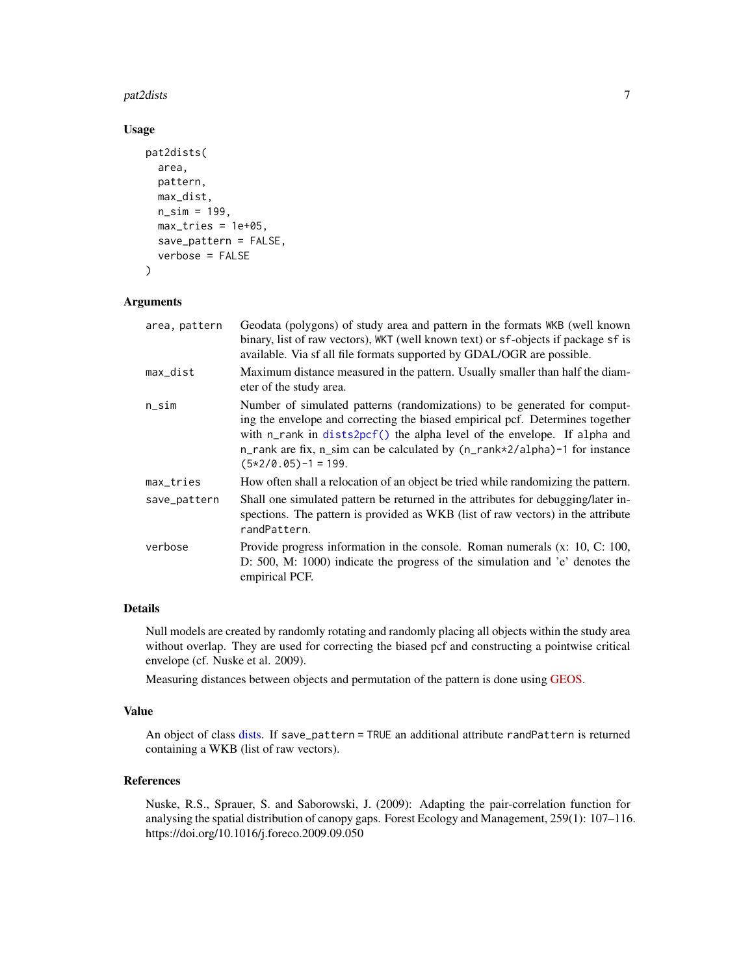#### <span id="page-6-0"></span>pat2dists 7

#### Usage

```
pat2dists(
  area,
  pattern,
  max_dist,
  n_sim = 199,
  max\_tries = 1e+05,
  save_pattern = FALSE,
  verbose = FALSE
\mathcal{E}
```
#### Arguments

| area, pattern | Geodata (polygons) of study area and pattern in the formats WKB (well known<br>binary, list of raw vectors), WKT (well known text) or sf-objects if package sf is<br>available. Via sf all file formats supported by GDAL/OGR are possible.                                                                                                     |
|---------------|-------------------------------------------------------------------------------------------------------------------------------------------------------------------------------------------------------------------------------------------------------------------------------------------------------------------------------------------------|
| max_dist      | Maximum distance measured in the pattern. Usually smaller than half the diam-<br>eter of the study area.                                                                                                                                                                                                                                        |
| n_sim         | Number of simulated patterns (randomizations) to be generated for comput-<br>ing the envelope and correcting the biased empirical pcf. Determines together<br>with n_rank in dists2pcf() the alpha level of the envelope. If alpha and<br>n_rank are fix, n_sim can be calculated by (n_rank*2/alpha)-1 for instance<br>$(5*2/0.05) - 1 = 199.$ |
| max_tries     | How often shall a relocation of an object be tried while randomizing the pattern.                                                                                                                                                                                                                                                               |
| save_pattern  | Shall one simulated pattern be returned in the attributes for debugging/later in-<br>spections. The pattern is provided as WKB (list of raw vectors) in the attribute<br>randPattern.                                                                                                                                                           |
| verbose       | Provide progress information in the console. Roman numerals $(x: 10, C: 100,$<br>D: 500, M: 1000) indicate the progress of the simulation and 'e' denotes the<br>empirical PCF.                                                                                                                                                                 |
|               |                                                                                                                                                                                                                                                                                                                                                 |

#### Details

Null models are created by randomly rotating and randomly placing all objects within the study area without overlap. They are used for correcting the biased pcf and constructing a pointwise critical envelope (cf. Nuske et al. 2009).

Measuring distances between objects and permutation of the pattern is done using [GEOS.](https://libgeos.org)

#### Value

An object of class [dists.](#page-2-1) If save\_pattern = TRUE an additional attribute randPattern is returned containing a WKB (list of raw vectors).

#### References

Nuske, R.S., Sprauer, S. and Saborowski, J. (2009): Adapting the pair-correlation function for analysing the spatial distribution of canopy gaps. Forest Ecology and Management, 259(1): 107–116. https://doi.org/10.1016/j.foreco.2009.09.050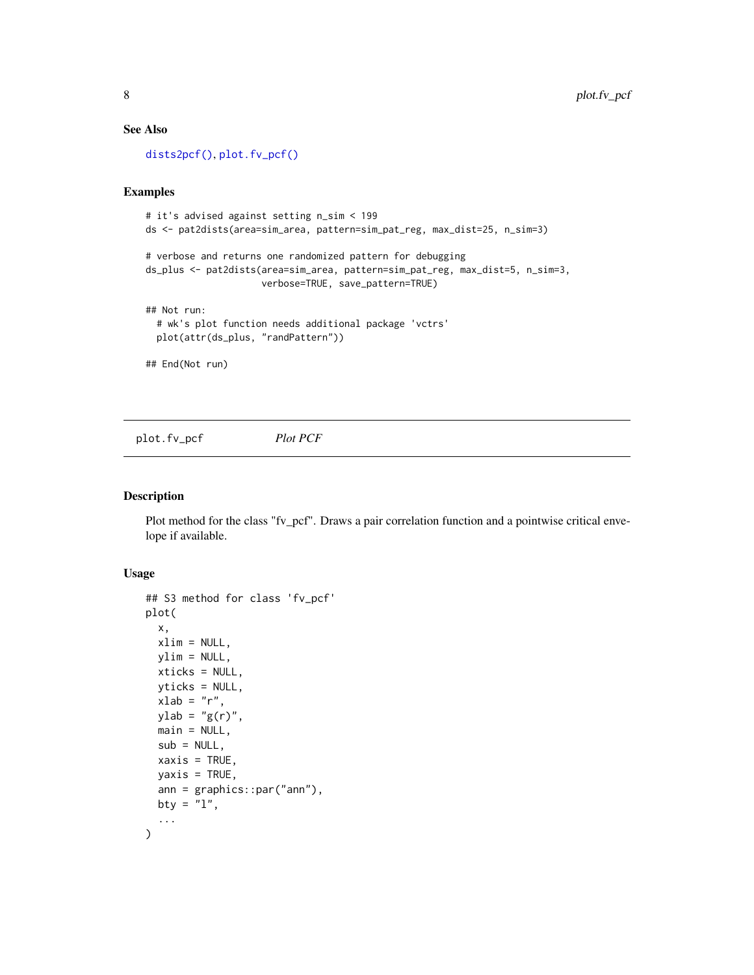#### <span id="page-7-0"></span>See Also

[dists2pcf\(\)](#page-3-1), [plot.fv\\_pcf\(\)](#page-7-1)

#### Examples

```
# it's advised against setting n_sim < 199
ds <- pat2dists(area=sim_area, pattern=sim_pat_reg, max_dist=25, n_sim=3)
# verbose and returns one randomized pattern for debugging
ds_plus <- pat2dists(area=sim_area, pattern=sim_pat_reg, max_dist=5, n_sim=3,
                     verbose=TRUE, save_pattern=TRUE)
## Not run:
  # wk's plot function needs additional package 'vctrs'
  plot(attr(ds_plus, "randPattern"))
## End(Not run)
```
<span id="page-7-1"></span>plot.fv\_pcf *Plot PCF*

#### Description

Plot method for the class "fv\_pcf". Draws a pair correlation function and a pointwise critical envelope if available.

#### Usage

```
## S3 method for class 'fv_pcf'
plot(
  x,
  xlim = NULL,ylim = NULL,
  xticks = NULL,
 yticks = NULL,
  xlab = "r",
 ylab = "g(r)",
  main = NULL,sub = NULL,xaxis = TRUE,
 yaxis = TRUE,ann = graphics::par("ann"),
 bty = "1",...
\mathcal{L}
```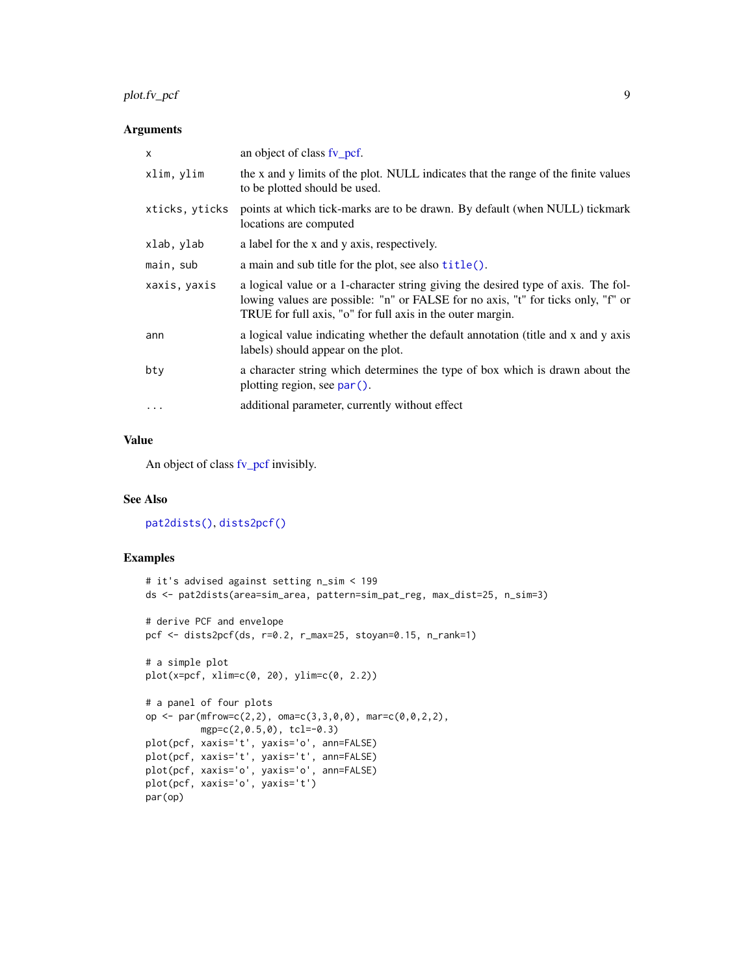#### <span id="page-8-0"></span>plot.fv\_pcf 9

#### Arguments

| $\times$       | an object of class fv_pcf.                                                                                                                                                                                                          |
|----------------|-------------------------------------------------------------------------------------------------------------------------------------------------------------------------------------------------------------------------------------|
| xlim, ylim     | the x and y limits of the plot. NULL indicates that the range of the finite values<br>to be plotted should be used.                                                                                                                 |
| xticks, yticks | points at which tick-marks are to be drawn. By default (when NULL) tickmark<br>locations are computed                                                                                                                               |
| xlab, ylab     | a label for the x and y axis, respectively.                                                                                                                                                                                         |
| main, sub      | a main and sub title for the plot, see also title().                                                                                                                                                                                |
| xaxis, yaxis   | a logical value or a 1-character string giving the desired type of axis. The fol-<br>lowing values are possible: "n" or FALSE for no axis, "t" for ticks only, "f" or<br>TRUE for full axis, "o" for full axis in the outer margin. |
| ann            | a logical value indicating whether the default annotation (title and x and y axis<br>labels) should appear on the plot.                                                                                                             |
| bty            | a character string which determines the type of box which is drawn about the<br>plotting region, see par().                                                                                                                         |
|                | additional parameter, currently without effect                                                                                                                                                                                      |
|                |                                                                                                                                                                                                                                     |

#### Value

An object of class [fv\\_pcf](#page-4-1) invisibly.

#### See Also

[pat2dists\(\)](#page-5-1), [dists2pcf\(\)](#page-3-1)

#### Examples

```
# it's advised against setting n_sim < 199
ds <- pat2dists(area=sim_area, pattern=sim_pat_reg, max_dist=25, n_sim=3)
# derive PCF and envelope
pcf <- dists2pcf(ds, r=0.2, r_max=25, stoyan=0.15, n_rank=1)
# a simple plot
plot(x=pcf, xlim=c(0, 20), ylim=c(0, 2.2))
# a panel of four plots
op <- par(mfrow=c(2,2), oma=c(3,3,0,0), mar=c(0,0,2,2),
         mgp=c(2,0.5,0), tcl=-0.3)
plot(pcf, xaxis='t', yaxis='o', ann=FALSE)
plot(pcf, xaxis='t', yaxis='t', ann=FALSE)
plot(pcf, xaxis='o', yaxis='o', ann=FALSE)
plot(pcf, xaxis='o', yaxis='t')
par(op)
```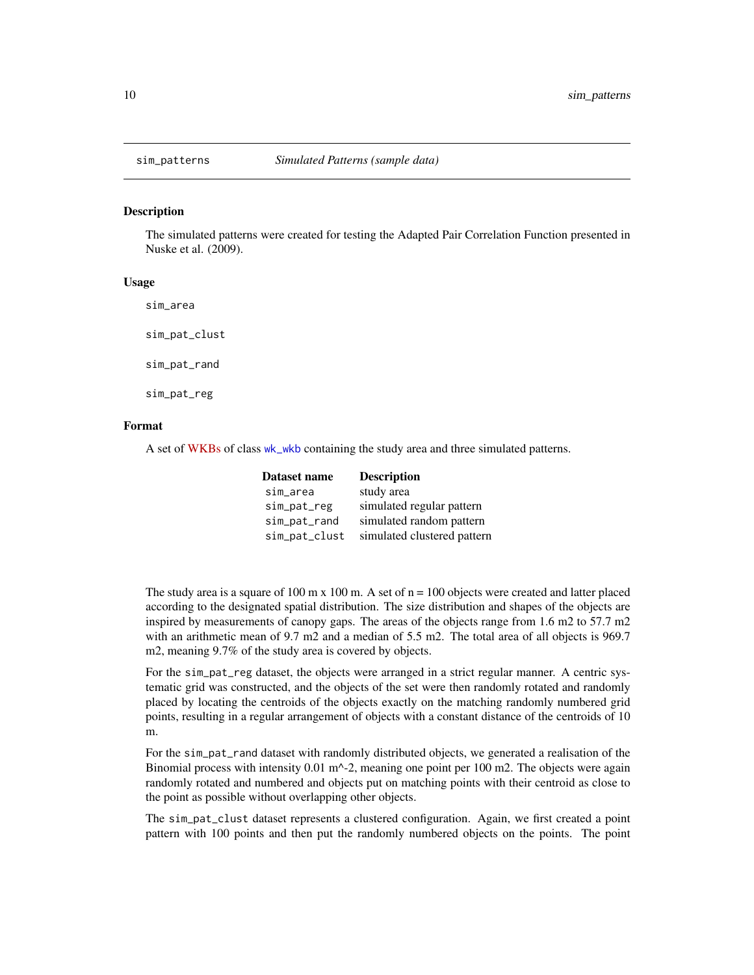<span id="page-9-0"></span>

#### Description

The simulated patterns were created for testing the Adapted Pair Correlation Function presented in Nuske et al. (2009).

#### Usage

sim\_area

sim\_pat\_clust

sim\_pat\_rand

sim\_pat\_reg

#### Format

A set of [WKBs](https://en.wikipedia.org/wiki/Well-known_text_representation_of_geometry) of class [wk\\_wkb](#page-0-0) containing the study area and three simulated patterns.

| Dataset name  | <b>Description</b>          |
|---------------|-----------------------------|
| sim_area      | study area                  |
| sim_pat_reg   | simulated regular pattern   |
| sim_pat_rand  | simulated random pattern    |
| sim_pat_clust | simulated clustered pattern |

The study area is a square of 100 m x 100 m. A set of  $n = 100$  objects were created and latter placed according to the designated spatial distribution. The size distribution and shapes of the objects are inspired by measurements of canopy gaps. The areas of the objects range from 1.6 m2 to 57.7 m2 with an arithmetic mean of 9.7 m2 and a median of 5.5 m2. The total area of all objects is 969.7 m2, meaning 9.7% of the study area is covered by objects.

For the sim\_pat\_reg dataset, the objects were arranged in a strict regular manner. A centric systematic grid was constructed, and the objects of the set were then randomly rotated and randomly placed by locating the centroids of the objects exactly on the matching randomly numbered grid points, resulting in a regular arrangement of objects with a constant distance of the centroids of 10 m.

For the sim\_pat\_rand dataset with randomly distributed objects, we generated a realisation of the Binomial process with intensity  $0.01 \text{ m}^{-2}$ , meaning one point per 100 m2. The objects were again randomly rotated and numbered and objects put on matching points with their centroid as close to the point as possible without overlapping other objects.

The sim\_pat\_clust dataset represents a clustered configuration. Again, we first created a point pattern with 100 points and then put the randomly numbered objects on the points. The point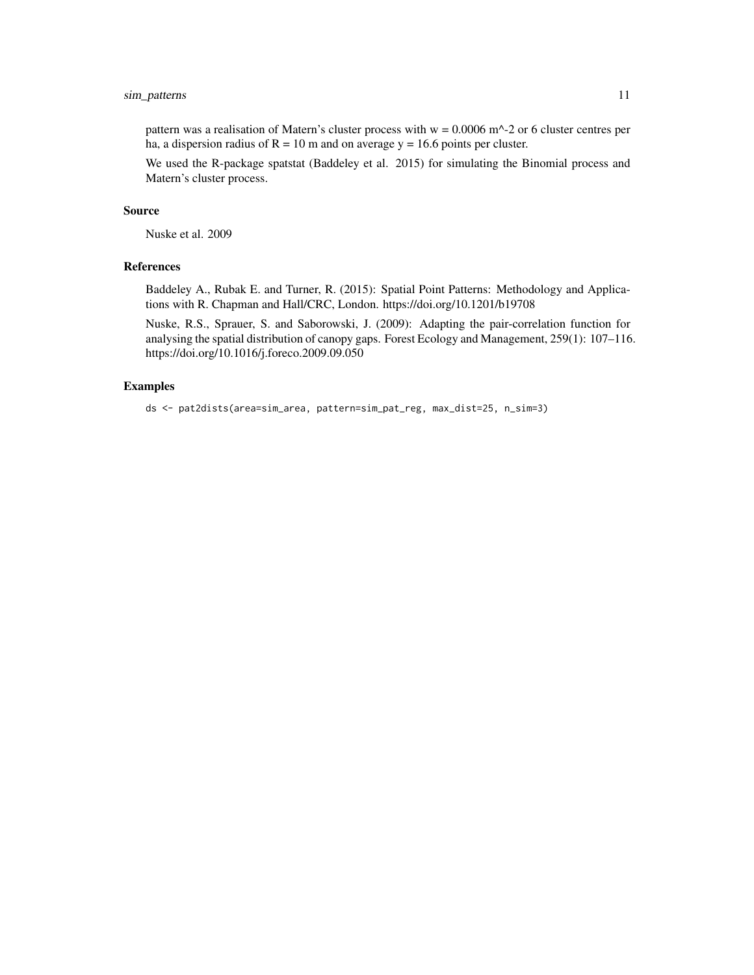#### sim\_patterns 11

pattern was a realisation of Matern's cluster process with  $w = 0.0006$  m<sup> $\lambda$ </sup>-2 or 6 cluster centres per ha, a dispersion radius of  $R = 10$  m and on average y = 16.6 points per cluster.

We used the R-package spatstat (Baddeley et al. 2015) for simulating the Binomial process and Matern's cluster process.

#### Source

Nuske et al. 2009

#### References

Baddeley A., Rubak E. and Turner, R. (2015): Spatial Point Patterns: Methodology and Applications with R. Chapman and Hall/CRC, London. https://doi.org/10.1201/b19708

Nuske, R.S., Sprauer, S. and Saborowski, J. (2009): Adapting the pair-correlation function for analysing the spatial distribution of canopy gaps. Forest Ecology and Management, 259(1): 107–116. https://doi.org/10.1016/j.foreco.2009.09.050

#### Examples

```
ds <- pat2dists(area=sim_area, pattern=sim_pat_reg, max_dist=25, n_sim=3)
```